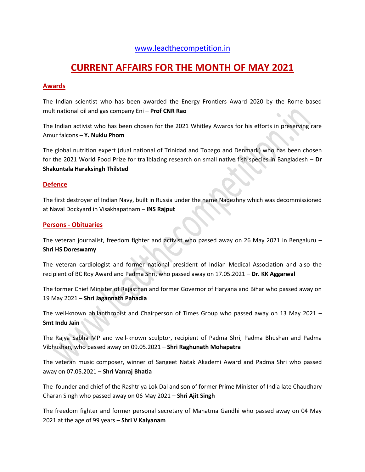### [www.leadthecompetition.in](http://www.leadthecompetition.in/)

# **CURRENT AFFAIRS FOR THE MONTH OF MAY 2021**

#### **Awards**

The Indian scientist who has been awarded the Energy Frontiers Award 2020 by the Rome based multinational oil and gas company Eni – **Prof CNR Rao**

The Indian activist who has been chosen for the 2021 Whitley Awards for his efforts in preserving rare Amur falcons – **Y. Nuklu Phom**

The global nutrition expert (dual national of Trinidad and Tobago and Denmark) who has been chosen for the 2021 World Food Prize for trailblazing research on small native fish species in Bangladesh – **Dr Shakuntala Haraksingh Thilsted**

#### **Defence**

The first destroyer of Indian Navy, built in Russia under the name Nadezhny which was decommissioned at Naval Dockyard in Visakhapatnam – **INS Rajput**

#### **Persons - Obituaries**

The veteran journalist, freedom fighter and activist who passed away on 26 May 2021 in Bengaluru – **Shri HS Doreswamy**

The veteran cardiologist and former national president of Indian Medical Association and also the recipient of BC Roy Award and Padma Shri, who passed away on 17.05.2021 – **Dr. KK Aggarwal**

The former Chief Minister of Rajasthan and former Governor of Haryana and Bihar who passed away on 19 May 2021 – **Shri Jagannath Pahadia**

The well-known philanthropist and Chairperson of Times Group who passed away on 13 May 2021 – **Smt Indu Jain**

The Rajya Sabha MP and well-known sculptor, recipient of Padma Shri, Padma Bhushan and Padma Vibhushan, who passed away on 09.05.2021 – **Shri Raghunath Mohapatra**

The veteran music composer, winner of Sangeet Natak Akademi Award and Padma Shri who passed away on 07.05.2021 – **Shri Vanraj Bhatia**

The founder and chief of the Rashtriya Lok Dal and son of former Prime Minister of India late Chaudhary Charan Singh who passed away on 06 May 2021 – **Shri Ajit Singh**

The freedom fighter and former personal secretary of Mahatma Gandhi who passed away on 04 May 2021 at the age of 99 years – **Shri V Kalyanam**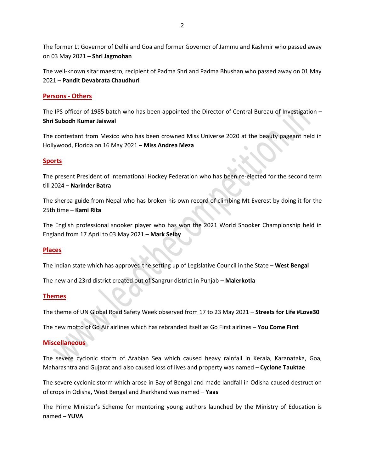The former Lt Governor of Delhi and Goa and former Governor of Jammu and Kashmir who passed away on 03 May 2021 – **Shri Jagmohan**

The well-known sitar maestro, recipient of Padma Shri and Padma Bhushan who passed away on 01 May 2021 – **Pandit Devabrata Chaudhuri**

#### **Persons - Others**

The IPS officer of 1985 batch who has been appointed the Director of Central Bureau of Investigation – **Shri Subodh Kumar Jaiswal**

The contestant from Mexico who has been crowned Miss Universe 2020 at the beauty pageant held in Hollywood, Florida on 16 May 2021 – **Miss Andrea Meza**

#### **Sports**

The present President of International Hockey Federation who has been re-elected for the second term till 2024 – **Narinder Batra**

The sherpa guide from Nepal who has broken his own record of climbing Mt Everest by doing it for the 25th time – **Kami Rita**

The English professional snooker player who has won the 2021 World Snooker Championship held in England from 17 April to 03 May 2021 – **Mark Selby**

#### **Places**

The Indian state which has approved the setting up of Legislative Council in the State – **West Bengal**

The new and 23rd district created out of Sangrur district in Punjab – **Malerkotla**

#### **Themes**

The theme of UN Global Road Safety Week observed from 17 to 23 May 2021 – **Streets for Life #Love30**

The new motto of Go Air airlines which has rebranded itself as Go First airlines – **You Come First**

#### **Miscellaneous**

The severe cyclonic storm of Arabian Sea which caused heavy rainfall in Kerala, Karanataka, Goa, Maharashtra and Gujarat and also caused loss of lives and property was named – **Cyclone Tauktae**

The severe cyclonic storm which arose in Bay of Bengal and made landfall in Odisha caused destruction of crops in Odisha, West Bengal and Jharkhand was named – **Yaas**

The Prime Minister's Scheme for mentoring young authors launched by the Ministry of Education is named – **YUVA**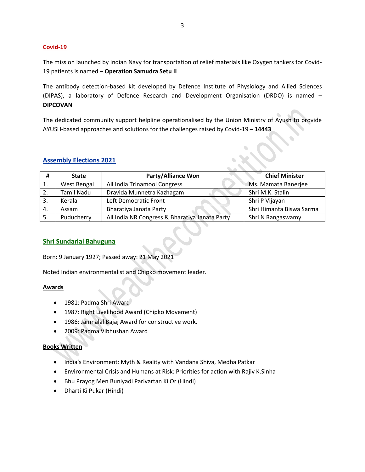#### **Covid-19**

The mission launched by Indian Navy for transportation of relief materials like Oxygen tankers for Covid-19 patients is named – **Operation Samudra Setu II**

The antibody detection-based kit developed by Defence Institute of Physiology and Allied Sciences (DIPAS), a laboratory of Defence Research and Development Organisation (DRDO) is named – **DIPCOVAN**

The dedicated community support helpline operationalised by the Union Ministry of Ayush to provide AYUSH-based approaches and solutions for the challenges raised by Covid-19 – **14443**

#### **Assembly Elections 2021**

| #  | <b>State</b>      | <b>Party/Alliance Won</b>                      | <b>Chief Minister</b>    |
|----|-------------------|------------------------------------------------|--------------------------|
| 1. | West Bengal       | All India Trinamool Congress                   | Ms. Mamata Banerjee      |
| 2. | <b>Tamil Nadu</b> | Dravida Munnetra Kazhagam                      | Shri M.K. Stalin         |
|    | Kerala            | Left Democratic Front                          | Shri P Vijayan           |
| 4. | Assam             | Bharatiya Janata Party                         | Shri Himanta Biswa Sarma |
|    | Puducherry        | All India NR Congress & Bharatiya Janata Party | Shri N Rangaswamy        |

#### **Shri Sundarlal Bahuguna**

Born: 9 January 1927; Passed away: 21 May 2021

Noted Indian environmentalist and Chipko movement leader.

#### **Awards**

- 1981: Padma Shri Award
- 1987: Right Livelihood Award (Chipko Movement)
- 1986: Jamnalal Bajaj Award for constructive work.
- 2009: Padma Vibhushan Award

#### **Books Written**

- India's Environment: Myth & Reality with Vandana Shiva, Medha Patkar
- Environmental Crisis and Humans at Risk: Priorities for action with Rajiv K.Sinha
- Bhu Prayog Men Buniyadi Parivartan Ki Or (Hindi)
- Dharti Ki Pukar (Hindi)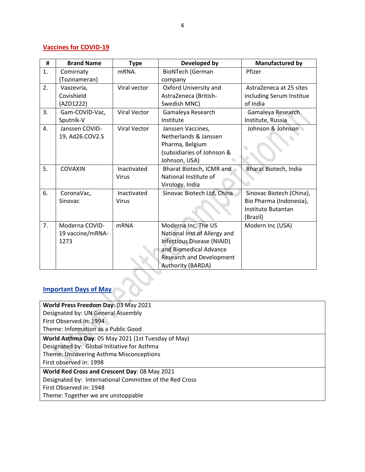## **Vaccines for COVID-19**

| #              | <b>Brand Name</b> | <b>Type</b>         | Developed by                    | <b>Manufactured by</b>   |
|----------------|-------------------|---------------------|---------------------------------|--------------------------|
| $\mathbf{1}$ . | Comirnaty         | mRNA.               | <b>BioNTech (German</b>         | Pfizer                   |
|                | (Tozinameran)     |                     | company                         |                          |
| 2.             | Vaxzevria,        | Viral vector        | Oxford University and           | AstraZeneca at 25 sites  |
|                | Covishield        |                     | AstraZeneca (British-           | including Serum Institue |
|                | (AZD1222)         |                     | Swedish MNC)                    | of India                 |
| 3.             | Gam-COVID-Vac,    | <b>Viral Vector</b> | Gamaleya Research               | Gamaleya Research        |
|                | Sputnik-V         |                     | Institute                       | Institute, Russia        |
| 4.             | Janssen COVID-    | <b>Viral Vector</b> | Janssen Vaccines,               | Johnson & Johnson        |
|                | 19, Ad26.COV2.S   |                     | Netherlands & Janssen           |                          |
|                |                   |                     | Pharma, Belgium                 |                          |
|                |                   |                     | (subsidiaries of Johnson &      |                          |
|                |                   |                     | Johnson, USA)                   |                          |
| 5.             | COVAXIN           | Inactivated         | Bharat Biotech, ICMR and        | Bharat Biotech, India    |
|                |                   | <b>Virus</b>        | National Institute of           |                          |
|                |                   |                     | Virology, India                 |                          |
| 6.             | CoronaVac,        | Inactivated         | Sinovac Biotech Ltd, China      | Sinovac Biotech (China), |
|                | Sinovac           | Virus               |                                 | Bio Pharma (Indonesia),  |
|                |                   |                     |                                 | Instituto Butantan       |
|                |                   |                     |                                 | (Brazil)                 |
| 7.             | Moderna COVID-    | <b>mRNA</b>         | Moderna Inc, The US             | Modern Inc (USA)         |
|                | 19 vaccine/mRNA-  |                     | National Inst of Allergy and    |                          |
|                | 1273              |                     | Infectious Disease (NIAID)      |                          |
|                |                   |                     | and Biomedical Advance          |                          |
|                |                   |                     | <b>Research and Development</b> |                          |
|                |                   |                     | Authority (BARDA)               |                          |

# **Important Days of May**

| World Press Freedom Day: 03 May 2021                    |  |  |  |
|---------------------------------------------------------|--|--|--|
| Designated by: UN General Assembly                      |  |  |  |
| First Observed in: 1994                                 |  |  |  |
| Theme: Information as a Public Good                     |  |  |  |
| World Asthma Day: 05 May 2021 (1st Tuesday of May)      |  |  |  |
| Designated by: Global Initiative for Asthma             |  |  |  |
| Theme: Uncovering Asthma Misconceptions                 |  |  |  |
| First observed in: 1998                                 |  |  |  |
| World Red Cross and Crescent Day: 08 May 2021           |  |  |  |
| Designated by: International Committee of the Red Cross |  |  |  |
| First Observed in: 1948                                 |  |  |  |
| Theme: Together we are unstoppable                      |  |  |  |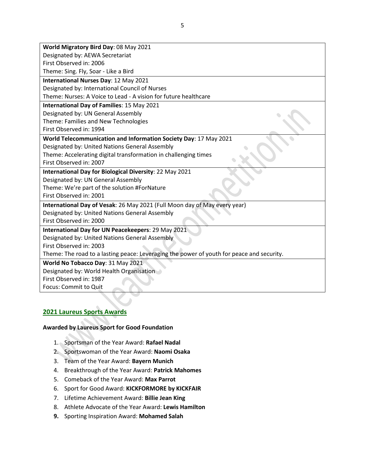| World Migratory Bird Day: 08 May 2021                                                     |  |  |  |  |  |
|-------------------------------------------------------------------------------------------|--|--|--|--|--|
| Designated by: AEWA Secretariat                                                           |  |  |  |  |  |
| First Observed in: 2006                                                                   |  |  |  |  |  |
| Theme: Sing. Fly, Soar - Like a Bird                                                      |  |  |  |  |  |
| International Nurses Day: 12 May 2021                                                     |  |  |  |  |  |
| Designated by: International Council of Nurses                                            |  |  |  |  |  |
| Theme: Nurses: A Voice to Lead - A vision for future healthcare                           |  |  |  |  |  |
| <b>International Day of Families: 15 May 2021</b>                                         |  |  |  |  |  |
| Designated by: UN General Assembly                                                        |  |  |  |  |  |
| Theme: Families and New Technologies                                                      |  |  |  |  |  |
| First Observed in: 1994                                                                   |  |  |  |  |  |
| World Telecommunication and Information Society Day: 17 May 2021                          |  |  |  |  |  |
| Designated by: United Nations General Assembly                                            |  |  |  |  |  |
| Theme: Accelerating digital transformation in challenging times                           |  |  |  |  |  |
| First Observed in: 2007                                                                   |  |  |  |  |  |
| International Day for Biological Diversity: 22 May 2021                                   |  |  |  |  |  |
| Designated by: UN General Assembly                                                        |  |  |  |  |  |
| Theme: We're part of the solution #ForNature                                              |  |  |  |  |  |
| First Observed in: 2001                                                                   |  |  |  |  |  |
| International Day of Vesak: 26 May 2021 (Full Moon day of May every year)                 |  |  |  |  |  |
| Designated by: United Nations General Assembly                                            |  |  |  |  |  |
| First Observed in: 2000                                                                   |  |  |  |  |  |
| International Day for UN Peacekeepers: 29 May 2021                                        |  |  |  |  |  |
| Designated by: United Nations General Assembly                                            |  |  |  |  |  |
| First Observed in: 2003                                                                   |  |  |  |  |  |
| Theme: The road to a lasting peace: Leveraging the power of youth for peace and security. |  |  |  |  |  |
| World No Tobacco Day: 31 May 2021                                                         |  |  |  |  |  |
| Designated by: World Health Organisation                                                  |  |  |  |  |  |
| First Observed in: 1987                                                                   |  |  |  |  |  |
| Focus: Commit to Quit                                                                     |  |  |  |  |  |

#### **2021 Laureus Sports Awards**

#### **Awarded by Laureus Sport for Good Foundation**

- 1. Sportsman of the Year Award: **Rafael Nadal**
- 2. Sportswoman of the Year Award: **Naomi Osaka**
- 3. Team of the Year Award: **Bayern Munich**
- 4. Breakthrough of the Year Award: **Patrick Mahomes**
- 5. Comeback of the Year Award: **Max Parrot**
- 6. Sport for Good Award: **KICKFORMORE by KICKFAIR**
- 7. Lifetime Achievement Award: **Billie Jean King**
- 8. Athlete Advocate of the Year Award: **Lewis Hamilton**
- **9.** Sporting Inspiration Award: **Mohamed Salah**